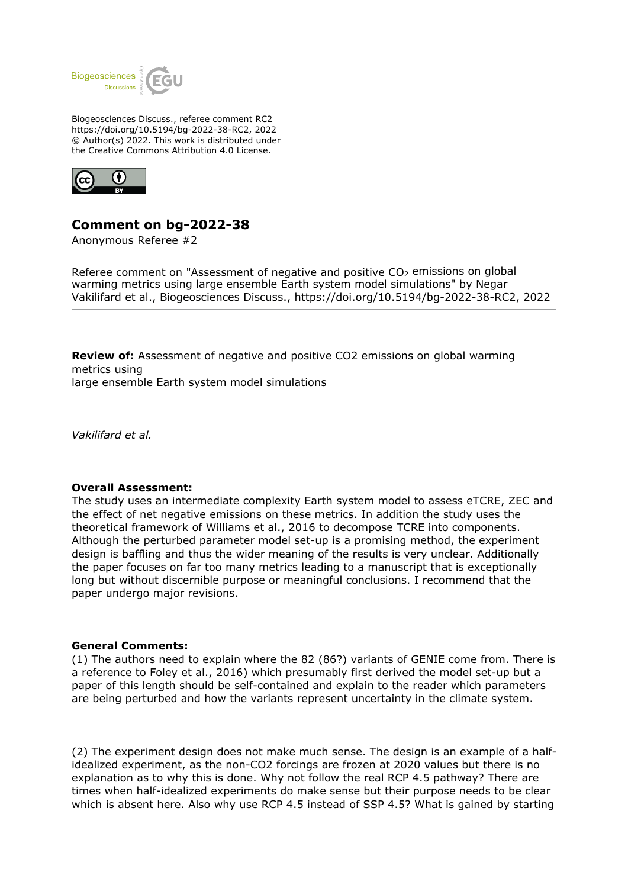

Biogeosciences Discuss., referee comment RC2 https://doi.org/10.5194/bg-2022-38-RC2, 2022 © Author(s) 2022. This work is distributed under the Creative Commons Attribution 4.0 License.



# **Comment on bg-2022-38**

Anonymous Referee #2

Referee comment on "Assessment of negative and positive  $CO<sub>2</sub>$  emissions on global warming metrics using large ensemble Earth system model simulations" by Negar Vakilifard et al., Biogeosciences Discuss., https://doi.org/10.5194/bg-2022-38-RC2, 2022

**Review of:** Assessment of negative and positive CO2 emissions on global warming metrics using large ensemble Earth system model simulations

*Vakilifard et al.*

#### **Overall Assessment:**

The study uses an intermediate complexity Earth system model to assess eTCRE, ZEC and the effect of net negative emissions on these metrics. In addition the study uses the theoretical framework of Williams et al., 2016 to decompose TCRE into components. Although the perturbed parameter model set-up is a promising method, the experiment design is baffling and thus the wider meaning of the results is very unclear. Additionally the paper focuses on far too many metrics leading to a manuscript that is exceptionally long but without discernible purpose or meaningful conclusions. I recommend that the paper undergo major revisions.

#### **General Comments:**

(1) The authors need to explain where the 82 (86?) variants of GENIE come from. There is a reference to Foley et al., 2016) which presumably first derived the model set-up but a paper of this length should be self-contained and explain to the reader which parameters are being perturbed and how the variants represent uncertainty in the climate system.

(2) The experiment design does not make much sense. The design is an example of a halfidealized experiment, as the non-CO2 forcings are frozen at 2020 values but there is no explanation as to why this is done. Why not follow the real RCP 4.5 pathway? There are times when half-idealized experiments do make sense but their purpose needs to be clear which is absent here. Also why use RCP 4.5 instead of SSP 4.5? What is gained by starting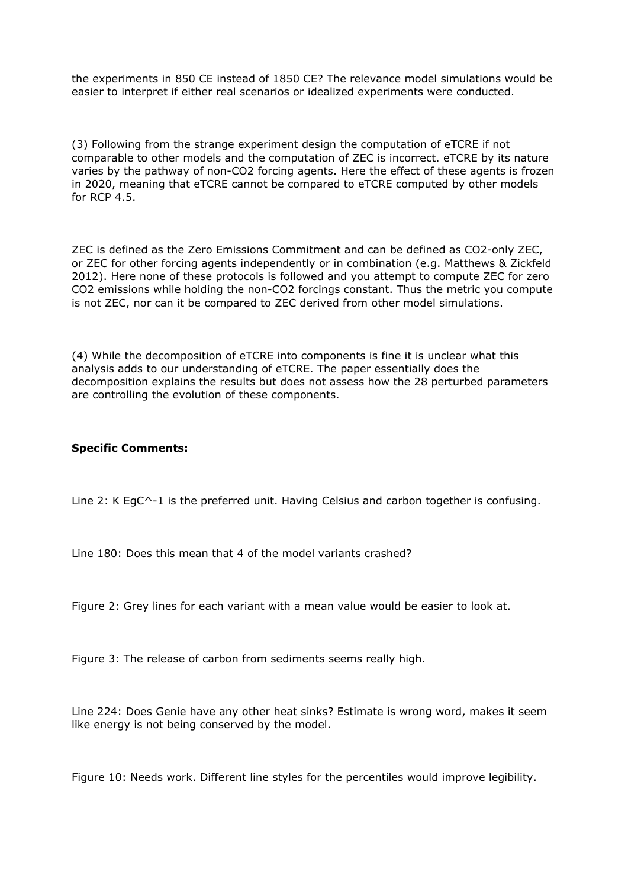the experiments in 850 CE instead of 1850 CE? The relevance model simulations would be easier to interpret if either real scenarios or idealized experiments were conducted.

(3) Following from the strange experiment design the computation of eTCRE if not comparable to other models and the computation of ZEC is incorrect. eTCRE by its nature varies by the pathway of non-CO2 forcing agents. Here the effect of these agents is frozen in 2020, meaning that eTCRE cannot be compared to eTCRE computed by other models for RCP 4.5.

ZEC is defined as the Zero Emissions Commitment and can be defined as CO2-only ZEC, or ZEC for other forcing agents independently or in combination (e.g. Matthews & Zickfeld 2012). Here none of these protocols is followed and you attempt to compute ZEC for zero CO2 emissions while holding the non-CO2 forcings constant. Thus the metric you compute is not ZEC, nor can it be compared to ZEC derived from other model simulations.

(4) While the decomposition of eTCRE into components is fine it is unclear what this analysis adds to our understanding of eTCRE. The paper essentially does the decomposition explains the results but does not assess how the 28 perturbed parameters are controlling the evolution of these components.

## **Specific Comments:**

Line 2: K EgC<sup> $\sim$ -1 is the preferred unit. Having Celsius and carbon together is confusing.</sup>

Line 180: Does this mean that 4 of the model variants crashed?

Figure 2: Grey lines for each variant with a mean value would be easier to look at.

Figure 3: The release of carbon from sediments seems really high.

Line 224: Does Genie have any other heat sinks? Estimate is wrong word, makes it seem like energy is not being conserved by the model.

Figure 10: Needs work. Different line styles for the percentiles would improve legibility.